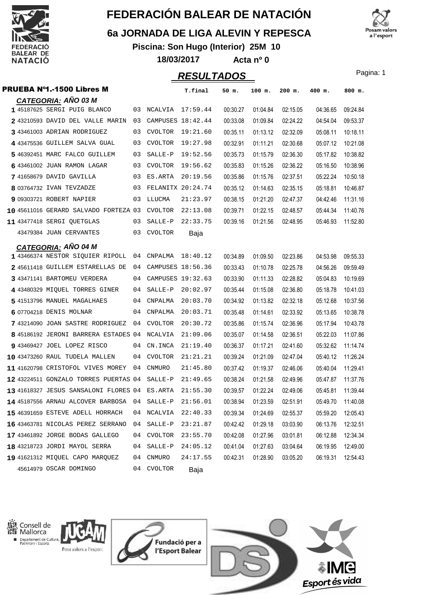

#### **6a JORNADA DE LIGA ALEVIN Y REPESCA**

**Piscina: Son Hugo (Interior) 25M 10 18/03/2017 Acta nº 0**



#### **RESULTADOS** Pagina: 1 PRUEBA Nº1.-1500 Libres M **T.final 50 m. 100 m. 200 m. 400 m. 800 m. CATEGORIA: AÑO 03 M** 1 45187625 SERGI PUIG BLANCO 03 NCALVIA 17:59.44 00:30.27 01:04.84 02:15.05 04:36.65 09:24.84  **2** 43210593 DAVID DEL VALLE MARIN 18:42.44 03 CAMPUSES 00:33.08 01:09.84 04:54.04 02:24.22 09:53.37 **3** 43461003 ADRIAN RODRIGUEZ 03 CVOLTOR 19:21.60 00:35.11 01:13.12 02:32.09 05:08.11 10:18.11  **4** 43475536 GUILLEM SALVA GUAL 19:27.98 03 CVOLTOR 00:32.91 01:11.21 05:07.12 02:30.68 10:21.08  **5** 46392451 MARC FALCO GUILLEM 19:52.56 03 SALLE-P 00:35.73 01:15.79 05:17.82 02:36.30 10:38.82  **6** 43461002 JUAN RAMON LAGAR 19:56.62 03 CVOLTOR 00:35.83 01:15.26 05:16.50 02:36.22 10:38.96  **7** 41658679 DAVID GAVILLA 20:19.56 03 ES.ARTA 00:35.86 01:15.76 05:22.24 02:37.51 10:50.18  **8** 03764732 IVAN TEVZADZE 20:24.74 03 FELANITX 00:35.12 01:14.63 05:18.81 02:35.15 10:46.87  **9** 09303721 ROBERT NAPIER 21:23.97 03 LLUCMA 00:38.15 01:21.20 04:42.46 02:47.37 11:31.16 10 45611016 GERARD SALVADO FORTEZA 03 CVOLTOR 22:13.08 00:39.71 01:22.15 02:48.57 05:44.34 11:40.76  **11** 43477418 SERGI QUETGLAS 22:33.75 03 SALLE-P 00:39.16 01:21.56 05:46.93 02:48.95 11:52.80 43479384 JUAN CERVANTES 03 CVOLTOR Baja **CATEGORIA: AÑO 04 M** 1 43466374 NESTOR SIQUIER RIPOLL 04 CNPALMA 18:40.12 00:34.89 01:09.50 02:23.86 04:53.98 09:55.33  **2** 45611418 GUILLEM ESTARELLAS DE 18:56.36 04 CAMPUSES 00:33.43 01:10.78 04:56.26 02:25.78 09:59.49 **3** 43471141 BARTOMEU VERDERA 04 CAMPUSES 19:32.63 00:33.90 01:11.33 02:28.82 05:04.83 10:19.69  **4** 43480329 MIQUEL TORRES GINER 20:02.97 04 SALLE-P 00:35.44 01:15.08 05:18.78 02:36.80 10:41.03  **5** 41513796 MANUEL MAGALHAES 20:03.70 04 CNPALMA 00:34.92 01:13.82 05:12.68 02:32.18 10:37.56  **6** 07704218 DENIS MOLNAR 20:03.71 04 CNPALMA 00:35.48 01:14.61 05:13.65 02:33.92 10:38.78 **7** 43214090 JOAN SASTRE RODRIGUEZ 04 CVOLTOR 20:30.72 00:35.86 01:15.74 02:36.96 05:17.94 10:43.78 8 45186192 JERONI BARRERA ESTADES 04 NCALVIA 21:09.06 00:35.07 01:14.58 02:36.51 05:22.03 11:07.86 **9** 43469427 JOEL LOPEZ RISCO  $0.4 \text{ CN. INCA}$   $21:19.40$   $0.036.37$   $0.11721$   $0.241.60$   $0.532.62$   $11.14.74$  **10** 43473260 RAUL TUDELA MALLEN 21:21.21 04 CVOLTOR 00:39.24 01:21.09 05:40.12 02:47.04 11:26.24 11 41620798 CRISTOFOL VIVES MOREY 04 CNMURO 21:45.80 00:37.42 01:19.37 02:46.06 05:40.04 11:29.41 12 43224511 GONZALO TORRES PUERTAS 04 SALLE-P 21:49.65 00:38.24 01:21.58 02:49.96 05:47.87 11:37.76 13 41618327 JESUS SANSALONI FLORES 04 ES.ARTA 21:55.30 00:39.57 01:22.24 02:49.06 05:45.81 11:39.44 14 45187556 ARNAU ALCOVER BARBOSA 04 SALLE-P 21:56.01 00:38.94 01:23.59 02:51.91 05:49.70 11:40.08 15 46391659 ESTEVE ADELL HORRACH 04 NCALVIA 22:40.33 00:39.34 01:24.69 02:55.37 05:59.20 12:05.43 16 43463781 NICOLAS PEREZ SERRANO 04 SALLE-P 23:21.87 00:42.42 01:29.18 03:03.90 06:13.76 12:32.51 17 43461892 JORGE BODAS GALLEGO 04 CVOLTOR 23:55.70 00:42.08 01:27.96 03:01.81 06:12.88 12:34.34 **18** 43218723 JORDI MAYOL SERRA 04 SALLE-P 24:05.12 00:41.04 01:27.63 03:04.64 06:19.95 12:49.00 19 41621312 MIQUEL CAPO MARQUEZ 04 CNMURO 24:17.55 00:42.31 01:28.90 03:05.20 06:19.31 12:54.43 45614979 OSCAR DOMINGO 04 CVOLTOR Baja



Consell de Mallorca Departament de Cultura, Posa valors a l'esport





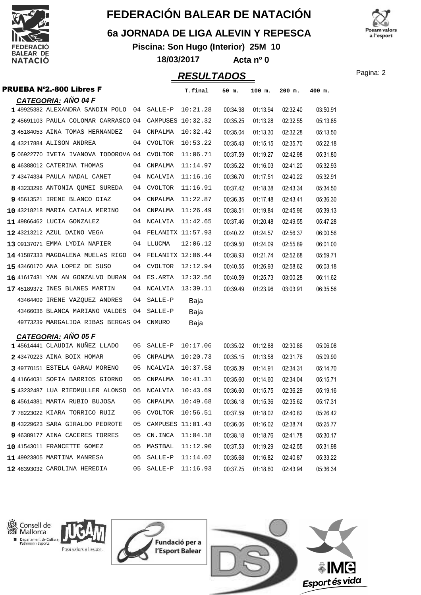

### **6a JORNADA DE LIGA ALEVIN Y REPESCA**

**Piscina: Son Hugo (Interior) 25M 10**

osam valors a l'esport

**18/03/2017 Acta nº 0**

Pagina: 2 **RESULTADOS**

| <b>PRUEBA Nº2.-800 Libres F</b>      |           |                      | T.final           | 50 m.    | 100 m.   | 200 m.   | 400 m.   |
|--------------------------------------|-----------|----------------------|-------------------|----------|----------|----------|----------|
| <b>CATEGORIA: AÑO 04 F</b>           |           |                      |                   |          |          |          |          |
| 1 49925382 ALEXANDRA SANDIN POLO 04  |           | SALLE-P              | 10:21.28          | 00:34.98 | 01:13.94 | 02:32.40 | 03:50.91 |
| 2 45691103 PAULA COLOMAR CARRASCO 04 |           | CAMPUSES 10:32.32    |                   | 00:35.25 | 01:13.28 | 02:32.55 | 05:13.85 |
| 3 45184053 AINA TOMAS HERNANDEZ      | 04        | CNPALMA              | 10:32.42          | 00:35.04 | 01:13.30 | 02:32.28 | 05:13.50 |
| 4 43217884 ALISON ANDREA             | 04        | <b>CVOLTOR</b>       | 10:53.22          | 00:35.43 | 01:15.15 | 02:35.70 | 05:22.18 |
| 5 06922770 IVETA IVANOVA TODOROVA 04 |           | <b>CVOLTOR</b>       | 11:06.71          | 00:37.59 | 01:19.27 | 02:42.98 | 05:31.80 |
| 6 46388012 CATERINA THOMAS           | 04        | CNPALMA              | 11:14.97          | 00:35.22 | 01:16.03 | 02:41.20 | 05:32.93 |
| 7 43474334 PAULA NADAL CANET         | 04        | NCALVIA              | 11:16.16          | 00:36.70 | 01:17.51 | 02:40.22 | 05:32.91 |
| 8 43233296 ANTONIA QUMEI SUREDA      | 04        | CVOLTOR              | 11:16.91          | 00:37.42 | 01:18.38 | 02:43.34 | 05:34.50 |
| 9 45613521 IRENE BLANCO DIAZ         | 04        | CNPALMA              | 11:22.87          | 00:36.35 | 01:17.48 | 02:43.41 | 05:36.30 |
| 10 43218218 MARIA CATALA MERINO      | 04        | CNPALMA              | 11:26.49          | 00:38.51 | 01:19.84 | 02:45.96 | 05:39.13 |
| 11 49866462 LUCIA GONZALEZ           | 04        | NCALVIA              | 11:42.65          | 00:37.46 | 01:20.48 | 02:49.55 | 05:47.28 |
| 12 43213212 AZUL DAINO VEGA          |           | 04 FELANITX 11:57.93 |                   | 00:40.22 | 01:24.57 | 02:56.37 | 06:00.56 |
| 13 09137071 EMMA LYDIA NAPIER        | 04        | LLUCMA               | 12:06.12          | 00:39.50 | 01:24.09 | 02:55.89 | 06:01.00 |
| 14 41587333 MAGDALENA MUELAS RIGO    | 04        |                      | FELANITX 12:06.44 | 00:38.93 | 01:21.74 | 02:52.68 | 05:59.71 |
| 15 43460170 ANA LOPEZ DE SUSO        | 04        | <b>CVOLTOR</b>       | 12:12.94          | 00:40.55 | 01:26.93 | 02:58.62 | 06:03.18 |
| 16 41617431 YAN AN GONZALVO DURAN    | 04        | ES.ARTA              | 12:32.56          | 00:40.59 | 01:25.73 | 03:00.28 | 06:11.62 |
| 17 45189372 INES BLANES MARTIN       | 04        | NCALVIA              | 13:39.11          | 00:39.49 | 01:23.96 | 03:03.91 | 06:35.56 |
| 43464409 IRENE VAZQUEZ ANDRES        | 04        | $SALLE-P$            | Baja              |          |          |          |          |
| 43466036 BLANCA MARIANO VALDES       | 04        | SALLE-P              | Baja              |          |          |          |          |
| 49773239 MARGALIDA RIBAS BERGAS 04   |           | <b>CNMURO</b>        | Baja              |          |          |          |          |
| <b>CATEGORIA: AÑO 05 F</b>           |           |                      |                   |          |          |          |          |
| 145614441 CLAUDIA NUÑEZ LLADO        | 05        | SALLE-P              | 10:17.06          | 00:35.02 | 01:12.88 | 02:30.86 | 05:06.08 |
| 243470223 AINA BOIX HOMAR            | 05        | CNPALMA              | 10:20.73          | 00:35.15 | 01:13.58 | 02:31.76 | 05:09.90 |
| 3 49770151 ESTELA GARAU MORENO       | 05        | NCALVIA              | 10:37.58          | 00:35.39 | 01:14.91 | 02:34.31 | 05:14.70 |
| 4 41664031 SOFIA BARRIOS GIORNO      | 05        | CNPALMA              | 10:41.31          | 00:35.60 | 01:14.60 | 02:34.04 | 05:15.71 |
| 543232487 LUA RIEDMULLER ALONSO      | 05        | NCALVIA              | 10:43.69          | 00:36.60 | 01:15.75 | 02:36.29 | 05:19.16 |
| 6 45614381 MARTA RUBIO BUJOSA        | <b>U5</b> | CNPALMA              | 10:49.68          | 00:36.18 | 01:15.36 | 02:35.62 | 05:17.31 |
| 7 78223022 KIARA TORRICO RUIZ        | 05        | <b>CVOLTOR</b>       | 10:56.51          | 00:37.59 | 01:18.02 | 02:40.82 | 05:26.42 |
| 8 43229623 SARA GIRALDO PEDROTE      | 05        |                      | CAMPUSES 11:01.43 | 00:36.06 | 01:16.02 | 02:38.74 | 05:25.77 |
| 9 46389177 AINA CACERES TORRES       | 05        | CN.INCA              | 11:04.18          | 00:38.18 | 01:18.76 | 02:41.78 | 05:30.17 |
| 10 41543011 FRANCETTE GOMEZ          | 05        | MASTBAL              | 11:12.90          | 00:37.53 | 01:19.29 | 02:42.55 | 05:31.98 |
| 11 49923805 MARTINA MANRESA          | 05        | SALLE-P              | 11:14.02          | 00:35.68 | 01:16.82 | 02:40.87 | 05:33.22 |
| 12 46393032 CAROLINA HEREDIA         | 05        | $SALLE-P$            | 11:16.93          | 00:37.25 | 01:18.60 | 02:43.94 | 05:36.34 |



Departament de Cultura, Posa valors a l'esport





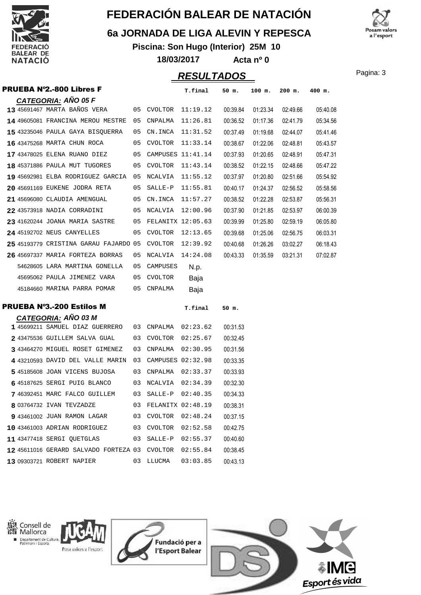

### **6a JORNADA DE LIGA ALEVIN Y REPESCA**

**Piscina: Son Hugo (Interior) 25M 10 18/03/2017 Acta nº 0**



**PESULTADOS** Pagina: 3

|  |                                                        |    |                      | NLJULIADUJ |          |          |          |          |
|--|--------------------------------------------------------|----|----------------------|------------|----------|----------|----------|----------|
|  | <b>PRUEBA Nº2.-800 Libres F</b>                        |    |                      | T.final    | 50 m.    | 100 m.   | $200$ m. | 400 m.   |
|  | <b>CATEGORIA: AÑO 05 F</b>                             |    |                      |            |          |          |          |          |
|  | 13 45691467 MARTA BAÑOS VERA                           |    | 05 CVOLTOR 11:19.12  |            | 00:39.84 | 01:23.34 | 02:49.66 | 05:40.08 |
|  | 14 49605081 FRANCINA MEROU MESTRE                      | 05 | CNPALMA              | 11:26.81   | 00:36.52 | 01:17.36 | 02:41.79 | 05:34.56 |
|  | 15 43235046 PAULA GAYA BISQUERRA                       | 05 | CN.INCA              | 11:31.52   | 00:37.49 | 01:19.68 | 02:44.07 | 05:41.46 |
|  | 16 43475268 MARTA CHUN ROCA                            |    | 05 CVOLTOR           | 11:33.14   | 00:38.67 | 01:22.06 | 02:48.81 | 05:43.57 |
|  | 17 43478025 ELENA RUANO DIEZ                           |    | 05 CAMPUSES 11:41.14 |            | 00:37.93 | 01:20.65 | 02:48.91 | 05:47.31 |
|  | 18 45371886 PAULA MUT TUGORES                          |    | 05 CVOLTOR           | 11:43.14   | 00:38.52 | 01:22.15 | 02:48.66 | 05:47.22 |
|  | 19 45692981 ELBA RODRIGUEZ GARCIA 05                   |    | NCALVIA              | 11:55.12   | 00:37.97 | 01:20.80 | 02:51.66 | 05:54.92 |
|  | 20 45691169 EUKENE JODRA RETA                          | 05 | SALLE-P              | 11:55.81   | 00:40.17 | 01:24.37 | 02:56.52 | 05:58.56 |
|  | 21 45696080 CLAUDIA AMENGUAL                           |    | 05 CN.INCA           | 11:57.27   | 00:38.52 | 01:22.28 | 02:53.87 | 05:56.31 |
|  | 22 43573918 NADIA CORRADINI                            |    | 05 NCALVIA 12:00.96  |            | 00:37.90 | 01:21.85 | 02:53.97 | 06:00.39 |
|  | 23 41620244 JOANA MARIA SASTRE                         |    | 05 FELANITX 12:05.63 |            | 00:39.99 | 01:25.80 | 02:59.19 | 06:05.80 |
|  | 24 45192702 NEUS CANYELLES                             |    | 05 CVOLTOR           | 12:13.65   | 00:39.68 | 01:25.06 | 02:56.75 | 06:03.31 |
|  | 25 45193779 CRISTINA GARAU FAJARDO 05                  |    | CVOLTOR              | 12:39.92   | 00:40.68 | 01:26.26 | 03:02.27 | 06:18.43 |
|  | 26 45697337 MARIA FORTEZA BORRAS                       | 05 | NCALVIA              | 14:24.08   | 00:43.33 | 01:35.59 | 03:21.31 | 07:02.87 |
|  | 54628605 LARA MARTINA GONELLA                          | 05 | CAMPUSES             | N.p.       |          |          |          |          |
|  | 45695062 PAULA JIMENEZ VARA                            | 05 | <b>CVOLTOR</b>       | Baja       |          |          |          |          |
|  | 45184660 MARINA PARRA POMAR                            | 05 | CNPALMA              | Baja       |          |          |          |          |
|  | <b>PRUEBA Nº3.-200 Estilos M</b>                       |    |                      | T.final    | 50 m.    |          |          |          |
|  | <b>CATEGORIA: AÑO 03 M</b>                             |    |                      |            |          |          |          |          |
|  | 1 45699211 SAMUEL DIAZ GUERRERO                        |    | 03 CNPALMA           | 02:23.62   | 00:31.53 |          |          |          |
|  | 243475536 GUILLEM SALVA GUAL                           |    | 03 CVOLTOR           | 02:25.67   | 00:32.45 |          |          |          |
|  | 3 43464270 MIGUEL ROSET GIMENEZ                        | 03 | CNPALMA              | 02:30.95   | 00:31.56 |          |          |          |
|  | 4 43210593 DAVID DEL VALLE MARIN                       |    | 03 CAMPUSES 02:32.98 |            | 00:33.35 |          |          |          |
|  | 545185608 JOAN VICENS BUJOSA                           |    | 03 CNPALMA           | 02:33.37   | 00:33.93 |          |          |          |
|  | 6 45187625 SERGI PUIG BLANCO                           |    | 03 NCALVIA 02:34.39  |            | 00:32.30 |          |          |          |
|  | 7 46392451 MARC FALCO GUILLEM                          |    | 03 SALLE-P 02:40.35  |            | 00:34.33 |          |          |          |
|  | 8 03764732 IVAN TEVZADZE 63 FELANITX 02:48.19          |    |                      |            | 00:38.31 |          |          |          |
|  | 9 43461002 JUAN RAMON LAGAR 03 CVOLTOR 02:48.24        |    |                      |            | 00:37.15 |          |          |          |
|  | 10 43461003 ADRIAN RODRIGUEZ                           |    | 03 CVOLTOR 02:52.58  |            | 00:42.75 |          |          |          |
|  | 11 43477418 SERGI QUETGLAS 03 SALLE-P 02:55.37         |    |                      |            | 00:40.60 |          |          |          |
|  | 12 45611016 GERARD SALVADO FORTEZA 03 CVOLTOR 02:55.84 |    |                      |            | 00:38.45 |          |          |          |
|  | 13 09303721 ROBERT NAPIER                              |    | 03 LLUCMA            | 03:03.85   | 00:43.13 |          |          |          |



Consell de<br>Mallorca Departament de Cultura, Posa valors a l'esport





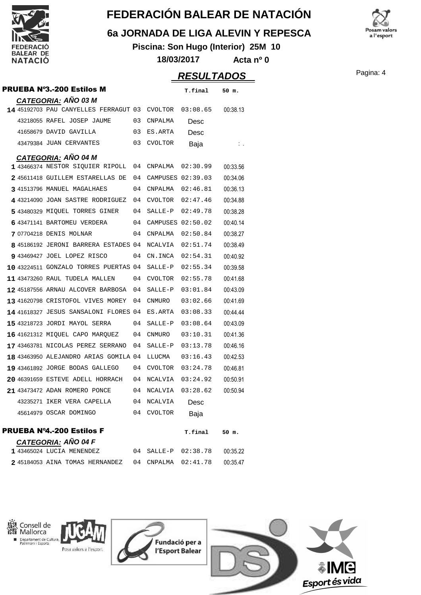

×

# **FEDERACIÓN BALEAR DE NATACIÓN**

### **6a JORNADA DE LIGA ALEVIN Y REPESCA**

**Piscina: Son Hugo (Interior) 25M 10 18/03/2017 Acta nº 0**



|                                                                             |    |                      | <b>RESULTADOS</b> |          | Pagina: 4 |
|-----------------------------------------------------------------------------|----|----------------------|-------------------|----------|-----------|
| <b>PRUEBA N°3.-200 Estilos M</b>                                            |    |                      | T.final           | 50 m.    |           |
| <b>CATEGORIA: AÑO 03 M</b><br>14 45192703 PAU CANYELLES FERRAGUT 03 CVOLTOR |    |                      | 03:08.65          | 00:38.13 |           |
| 43218055 RAFEL JOSEP JAUME                                                  |    | 03 CNPALMA           |                   |          |           |
|                                                                             |    |                      | Desc              |          |           |
| 41658679 DAVID GAVILLA                                                      | 03 | ES.ARTA              | Desc              |          |           |
| 43479384 JUAN CERVANTES                                                     | 03 | CVOLTOR              | Baja              | ÷.       |           |
| <b>CATEGORIA: AÑO 04 M</b>                                                  |    |                      |                   |          |           |
| 1 43466374 NESTOR SIQUIER RIPOLL 04 CNPALMA                                 |    |                      | 02:30.99          | 00:33.56 |           |
| 2 45611418 GUILLEM ESTARELLAS DE                                            |    | 04 CAMPUSES 02:39.03 |                   | 00:34.06 |           |
| 3 41513796 MANUEL MAGALHAES                                                 | 04 | CNPALMA              | 02:46.81          | 00:36.13 |           |
| 4 43214090 JOAN SASTRE RODRIGUEZ                                            | 04 | CVOLTOR              | 02:47.46          | 00:34.88 |           |
| 5 43480329 MIOUEL TORRES GINER                                              | 04 | SALLE-P              | 02:49.78          | 00:38.28 |           |
| 6 43471141 BARTOMEU VERDERA                                                 |    | 04 CAMPUSES 02:50.02 |                   | 00:40.14 |           |
| 7 07704218 DENIS MOLNAR                                                     | 04 | CNPALMA              | 02:50.84          | 00:38.27 |           |
| 8 45186192 JERONI BARRERA ESTADES 04 NCALVIA                                |    |                      | 02:51.74          | 00:38.49 |           |
| 9 43469427 JOEL LOPEZ RISCO                                                 |    | 04 CN.INCA           | 02:54.31          | 00:40.92 |           |
| 10 43224511 GONZALO TORRES PUERTAS 04                                       |    | SALLE-P              | 02:55.34          | 00:39.58 |           |
| 11 43473260 RAUL TUDELA MALLEN                                              |    | 04 CVOLTOR           | 02:55.78          | 00:41.68 |           |
| 12 45187556 ARNAU ALCOVER BARBOSA                                           | 04 | SALLE-P              | 03:01.84          | 00:43.09 |           |
| 13 41620798 CRISTOFOL VIVES MOREY                                           | 04 | <b>CNMURO</b>        | 03:02.66          | 00:41.69 |           |
| 14 41618327 JESUS SANSALONI FLORES 04 ES.ARTA                               |    |                      | 03:08.33          | 00:44.44 |           |
| 15 43218723 JORDI MAYOL SERRA                                               |    | 04 SALLE-P           | 03:08.64          | 00:43.09 |           |
| 16 41621312 MIQUEL CAPO MARQUEZ                                             | 04 | CNMURO               | 03:10.31          | 00:41.36 |           |
| 17 43463781 NICOLAS PEREZ SERRANO                                           | 04 | SALLE-P              | 03:13.78          | 00:46.16 |           |
| 18 43463950 ALEJANDRO ARIAS GOMILA 04                                       |    | LLUCMA               | 03:16.43          | 00:42.53 |           |
| 19 43461892 JORGE BODAS GALLEGO                                             |    | 04 CVOLTOR           | 03:24.78          | 00:46.81 |           |
| 20 46391659 ESTEVE ADELL HORRACH                                            |    | 04 NCALVIA           | 03:24.92          | 00:50.91 |           |
| 21 43473472 ADAN ROMERO PONCE                                               |    | 04 NCALVIA           | 03:28.62          | 00:50.94 |           |
| 43235271 IKER VERA CAPELLA                                                  |    | 04 NCALVIA           | Desc              |          |           |
| 45614979 OSCAR DOMINGO                                                      |    | 04 CVOLTOR           | Baja              |          |           |
| <b>PRUEBA Nº4.-200 Estilos F</b>                                            |    |                      | T.final           | 50 m.    |           |
| <b>CATEGORIA: AÑO 04 F</b>                                                  |    |                      |                   |          |           |
| 1 43465024 LUCIA MENENDEZ                                                   |    | 04 SALLE-P           | 02:38.78          | 00:35.22 |           |
| 2 45184053 AINA TOMAS HERNANDEZ                                             |    | 04 CNPALMA           | 02:41.78          | 00:35.47 |           |

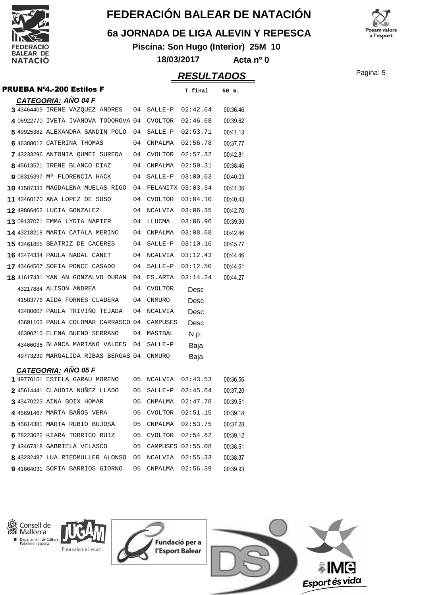

### **6a JORNADA DE LIGA ALEVIN Y REPESCA**

**Piscina: Son Hugo (Interior) 25M 10 18/03/2017 Acta nº 0**



|                                              |    |                      | <b>RESULTADOS</b> |          | Pagina: 5 |
|----------------------------------------------|----|----------------------|-------------------|----------|-----------|
| PRUEBA N°4.-200 Estilos F                    |    |                      | T.final           | 50 m.    |           |
| <u>CATEGORIA:</u> AÑO 04 F                   |    |                      |                   |          |           |
| 3 43464409 IRENE VAZQUEZ ANDRES              |    | 04 SALLE-P           | 02:42.64          | 00:36.46 |           |
| 4 06922770 IVETA IVANOVA TODOROVA 04 CVOLTOR |    |                      | 02:46.68          | 00:39.62 |           |
| 549925382 ALEXANDRA SANDIN POLO              |    | 04 SALLE-P           | 02:53.71          | 00:41.13 |           |
| 6 46388012 CATERINA THOMAS                   |    | 04 CNPALMA           | 02:56.78          | 00:37.77 |           |
| 743233296 ANTONIA QUMEI SUREDA               |    | 04 CVOLTOR           | 02:57.32          | 00:42.81 |           |
| 8 45613521 IRENE BLANCO DIAZ                 |    | 04 CNPALMA           | 02:59.31          | 00:38.46 |           |
| 9 08315397 M <sup>a</sup> FLORENCIA HACK     |    | 04 SALLE-P           | 03:00.63          | 00:40.03 |           |
| 10 41587333 MAGDALENA MUELAS RIGO            |    | 04 FELANITX 03:03.34 |                   | 00:41.06 |           |
| 11 43460170 ANA LOPEZ DE SUSO                |    | 04 CVOLTOR           | 03:04.10          | 00:40.43 |           |
| 12 49866462 LUCIA GONZALEZ                   |    | 04 NCALVIA           | 03:06.35          | 00:42.76 |           |
| 13 09137071 EMMA LYDIA NAPIER                |    | 04 LLUCMA            | 03:06.96          | 00:39.90 |           |
| 14 43218218 MARIA CATALA MERINO              |    | 04 CNPALMA           | 03:08.68          | 00:42.46 |           |
| 15 43461855 BEATRIZ DE CACERES               |    | 04 SALLE-P           | 03:10.16          | 00:45.77 |           |
| 16 43474334 PAULA NADAL CANET                |    | 04 NCALVIA           | 03:12.43          | 00:44.46 |           |
| 17 43464507 SOFIA PONCE CASADO               |    | 04 SALLE-P           | 03:12.50          | 00:44.61 |           |
| 18 41617431 YAN AN GONZALVO DURAN            |    | 04 ES.ARTA           | 03:14.24          | 00:44.27 |           |
| 43217884 ALISON ANDREA                       |    | 04 CVOLTOR           | Desc              |          |           |
| 41583776 AIDA FORNES CLADERA                 | 04 | CNMURO               | Desc              |          |           |
| 43480607 PAULA TRIVIÑO TEJADA                |    | 04 NCALVIA           | Desc              |          |           |
| 45691103 PAULA COLOMAR CARRASCO 04 CAMPUSES  |    |                      | Desc              |          |           |
| 46390210 ELENA BUENO SERRANO                 |    | 04 MASTBAL           | N.p.              |          |           |
| 43466036 BLANCA MARIANO VALDES               |    | 04 SALLE-P           | Baja              |          |           |
| 49773239 MARGALIDA RIBAS BERGAS 04 CNMURO    |    |                      | Baja              |          |           |
| <b>CATEGORIA: AÑO 05 F</b>                   |    |                      |                   |          |           |
| 1 49770151 ESTELA GARAU MORENO               |    | 05 NCALVIA           | 02:43.53          | 00:36.56 |           |
| 245614441 CLAUDIA NUÑEZ LLADO                | 05 | SALLE-P              | 02:45.64          | 00:37.20 |           |
| 3 43470223 AINA BOIX HOMAR                   | 05 | CNPALMA              | 02:47.78          | 00:39.51 |           |
| 4 45691467 MARTA BAÑOS VERA                  | 05 | <b>CVOLTOR</b>       | 02:51.15          | 00:39.18 |           |
| 5 45614381 MARTA RUBIO BUJOSA                | 05 | CNPALMA              | 02:53.75          | 00:37.28 |           |
| 6 78223022 KIARA TORRICO RUIZ                | 05 | <b>CVOLTOR</b>       | 02:54.62          | 00:39.12 |           |
| 7 43467318 GABRIELA VELASCO                  | 05 |                      | CAMPUSES 02:55.08 | 00:38.61 |           |
| 8 43232487 LUA RIEDMULLER ALONSO             | 05 | NCALVIA              | 02:55.33          | 00:38.37 |           |
| 9 41664031 SOFIA BARRIOS GIORNO              | 05 | CNPALMA              | 02:56.39          | 00:39.93 |           |
|                                              |    |                      |                   |          |           |









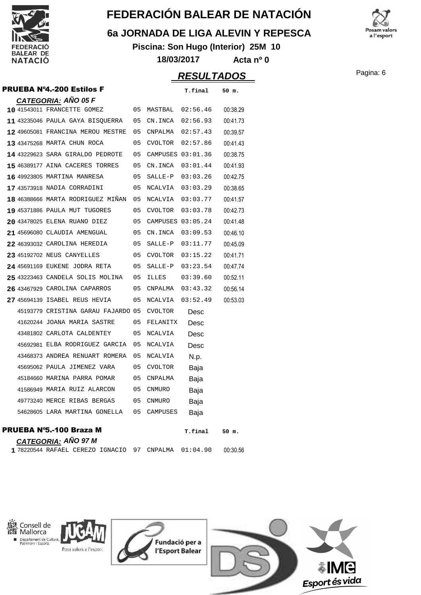

### **6a JORNADA DE LIGA ALEVIN Y REPESCA**

**Piscina: Son Hugo (Interior) 25M 10 18/03/2017 Acta nº 0**



**RESULTADOS** Pagina: 6

|  | <b>PRUEBA Nº4.-200 Estilos F</b>                                |    |                   | T.final  | 50 m.    |
|--|-----------------------------------------------------------------|----|-------------------|----------|----------|
|  | <b>CATEGORIA: AÑO 05 F</b>                                      |    |                   |          |          |
|  | 10 41543011 FRANCETTE GOMEZ                                     | 05 | MASTBAL           | 02:56.46 | 00:38.29 |
|  | 11 43235046 PAULA GAYA BISQUERRA                                | 05 | CN.INCA           | 02:56.93 | 00:41.73 |
|  | 12 49605081 FRANCINA MEROU MESTRE                               | 05 | CNPALMA           | 02:57.43 | 00:39.57 |
|  | 13 43475268 MARTA CHUN ROCA                                     | 05 | CVOLTOR           | 02:57.86 | 00:41.43 |
|  | 14 43229623 SARA GIRALDO PEDROTE                                | 05 | CAMPUSES 03:01.36 |          | 00:38.75 |
|  | 15 46389177 AINA CACERES TORRES                                 | 05 | CN.INCA           | 03:01.44 | 00:41.93 |
|  | 16 49923805 MARTINA MANRESA                                     | 05 | SALLE-P           | 03:03.26 | 00:42.75 |
|  | 17 43573918 NADIA CORRADINI                                     | 05 | NCALVIA           | 03:03.29 | 00:38.65 |
|  | 18 46388666 MARTA RODRIGUEZ MIÑAN                               | 05 | NCALVIA           | 03:03.77 | 00:41.57 |
|  | 19 45371886 PAULA MUT TUGORES                                   | 05 | CVOLTOR           | 03:03.78 | 00:42.73 |
|  | 20 43478025 ELENA RUANO DIEZ                                    | 05 | CAMPUSES 03:05.24 |          | 00:41.48 |
|  | 21 45696080 CLAUDIA AMENGUAL                                    | 05 | CN.INCA           | 03:09.53 | 00:46.10 |
|  | 22 46393032 CAROLINA HEREDIA                                    | 05 | SALLE-P           | 03:11.77 | 00:45.09 |
|  | 23 45192702 NEUS CANYELLES                                      | 05 | CVOLTOR           | 03:15.22 | 00:41.71 |
|  | 24 45691169 EUKENE JODRA RETA                                   | 05 | SALLE-P           | 03:23.54 | 00:47.74 |
|  | 25 43223463 CANDELA SOLIS MOLINA                                | 05 | <b>ILLES</b>      | 03:39.60 | 00:52.11 |
|  | 26 43467929 CAROLINA CAPARROS                                   | 05 | CNPALMA           | 03:43.32 | 00:56.14 |
|  | 27 45694139 ISABEL REUS HEVIA                                   | 05 | NCALVIA           | 03:52.49 | 00:53.03 |
|  | 45193779 CRISTINA GARAU FAJARDO 05                              |    | <b>CVOLTOR</b>    | Desc     |          |
|  | 41620244 JOANA MARIA SASTRE                                     | 05 | FELANITX          | Desc     |          |
|  | 43481802 CARLOTA CALDENTEY                                      | 05 | <b>NCALVIA</b>    | Desc     |          |
|  | 45692981 ELBA RODRIGUEZ GARCIA                                  | 05 | <b>NCALVIA</b>    | Desc     |          |
|  | 43468373 ANDREA RENUART ROMERA                                  | 05 | NCALVIA           | N.p.     |          |
|  | 45695062 PAULA JIMENEZ VARA                                     | 05 | <b>CVOLTOR</b>    | Baja     |          |
|  | 45184660 MARINA PARRA POMAR                                     | 05 | CNPALMA           | Baja     |          |
|  | 41586949 MARIA RUIZ ALARCON                                     | 05 | <b>CNMURO</b>     | Baja     |          |
|  | 49773240 MERCE RIBAS BERGAS                                     | 05 | <b>CNMURO</b>     | Baja     |          |
|  | 54628605 LARA MARTINA GONELLA                                   | 05 | CAMPUSES          | Baja     |          |
|  | PRUEBA N°5.-100 Braza M                                         |    |                   | T.final  | 50 m.    |
|  | <u>CATEG</u> ORIA: AÑO 97 M<br>1 78220544 RAFAEL CEREZO IGNACIO | 97 | CNPALMA           | 01:04.90 | 00:30.56 |